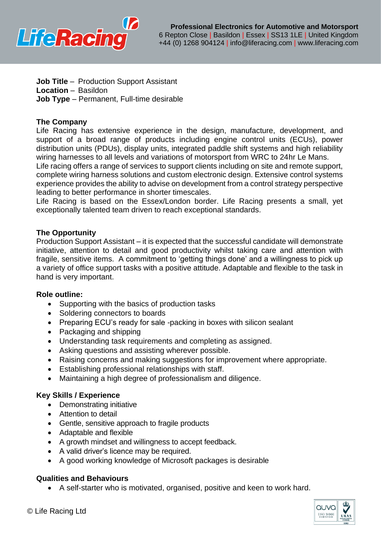

- **Job Title** Production Support Assistant
- **Location** Basildon
- **Job Type** Permanent, Full-time desirable

# **The Company**

Life Racing has extensive experience in the design, manufacture, development, and support of a broad range of products including engine control units (ECUs), power distribution units (PDUs), display units, integrated paddle shift systems and high reliability wiring harnesses to all levels and variations of motorsport from WRC to 24hr Le Mans.

Life racing offers a range of services to support clients including on site and remote support, complete wiring harness solutions and custom electronic design. Extensive control systems experience provides the ability to advise on development from a control strategy perspective leading to better performance in shorter timescales.

Life Racing is based on the Essex/London border. Life Racing presents a small, yet exceptionally talented team driven to reach exceptional standards.

## **The Opportunity**

Production Support Assistant – it is expected that the successful candidate will demonstrate initiative, attention to detail and good productivity whilst taking care and attention with fragile, sensitive items. A commitment to 'getting things done' and a willingness to pick up a variety of office support tasks with a positive attitude. Adaptable and flexible to the task in hand is very important.

### **Role outline:**

- Supporting with the basics of production tasks
- Soldering connectors to boards
- Preparing ECU's ready for sale -packing in boxes with silicon sealant
- Packaging and shipping
- Understanding task requirements and completing as assigned.
- Asking questions and assisting wherever possible.
- Raising concerns and making suggestions for improvement where appropriate.
- Establishing professional relationships with staff.
- Maintaining a high degree of professionalism and diligence.

### **Key Skills / Experience**

- Demonstrating initiative
- Attention to detail
- Gentle, sensitive approach to fragile products
- Adaptable and flexible
- A growth mindset and willingness to accept feedback.
- A valid driver's licence may be required.
- A good working knowledge of Microsoft packages is desirable

### **Qualities and Behaviours**

• A self-starter who is motivated, organised, positive and keen to work hard.